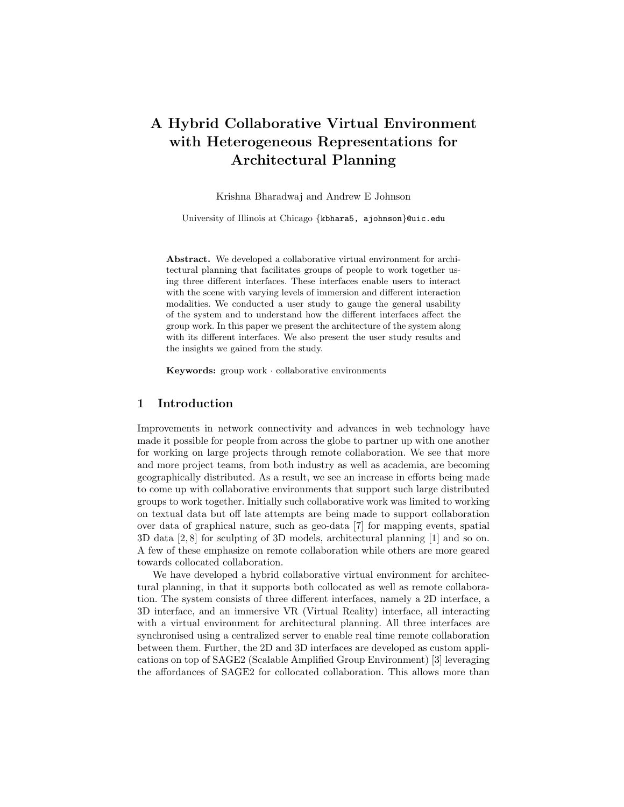# A Hybrid Collaborative Virtual Environment with Heterogeneous Representations for Architectural Planning

Krishna Bharadwaj and Andrew E Johnson

University of Illinois at Chicago {kbhara5, ajohnson}@uic.edu

Abstract. We developed a collaborative virtual environment for architectural planning that facilitates groups of people to work together using three different interfaces. These interfaces enable users to interact with the scene with varying levels of immersion and different interaction modalities. We conducted a user study to gauge the general usability of the system and to understand how the different interfaces affect the group work. In this paper we present the architecture of the system along with its different interfaces. We also present the user study results and the insights we gained from the study.

Keywords: group work · collaborative environments

# 1 Introduction

Improvements in network connectivity and advances in web technology have made it possible for people from across the globe to partner up with one another for working on large projects through remote collaboration. We see that more and more project teams, from both industry as well as academia, are becoming geographically distributed. As a result, we see an increase in efforts being made to come up with collaborative environments that support such large distributed groups to work together. Initially such collaborative work was limited to working on textual data but off late attempts are being made to support collaboration over data of graphical nature, such as geo-data [7] for mapping events, spatial 3D data [2, 8] for sculpting of 3D models, architectural planning [1] and so on. A few of these emphasize on remote collaboration while others are more geared towards collocated collaboration.

We have developed a hybrid collaborative virtual environment for architectural planning, in that it supports both collocated as well as remote collaboration. The system consists of three different interfaces, namely a 2D interface, a 3D interface, and an immersive VR (Virtual Reality) interface, all interacting with a virtual environment for architectural planning. All three interfaces are synchronised using a centralized server to enable real time remote collaboration between them. Further, the 2D and 3D interfaces are developed as custom applications on top of SAGE2 (Scalable Amplified Group Environment) [3] leveraging the affordances of SAGE2 for collocated collaboration. This allows more than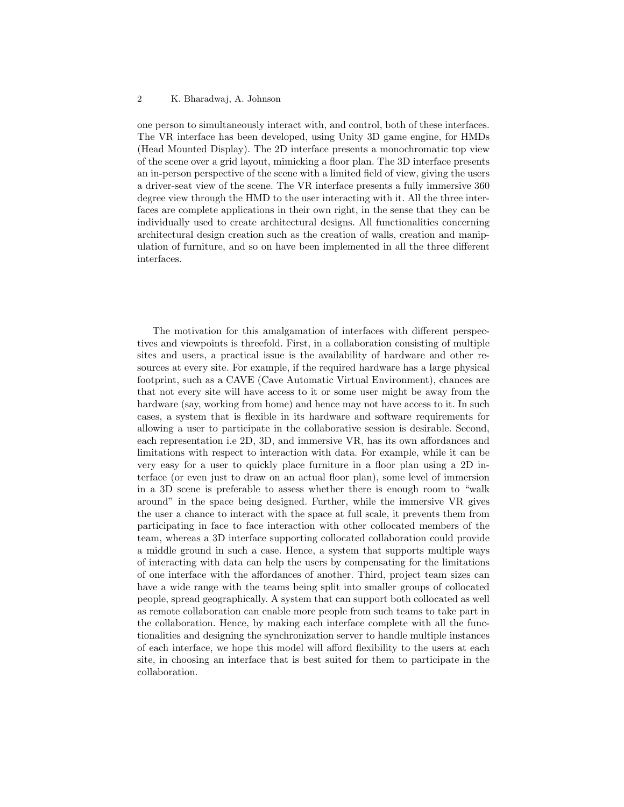one person to simultaneously interact with, and control, both of these interfaces. The VR interface has been developed, using Unity 3D game engine, for HMDs (Head Mounted Display). The 2D interface presents a monochromatic top view of the scene over a grid layout, mimicking a floor plan. The 3D interface presents an in-person perspective of the scene with a limited field of view, giving the users a driver-seat view of the scene. The VR interface presents a fully immersive 360 degree view through the HMD to the user interacting with it. All the three interfaces are complete applications in their own right, in the sense that they can be individually used to create architectural designs. All functionalities concerning architectural design creation such as the creation of walls, creation and manipulation of furniture, and so on have been implemented in all the three different interfaces.

The motivation for this amalgamation of interfaces with different perspectives and viewpoints is threefold. First, in a collaboration consisting of multiple sites and users, a practical issue is the availability of hardware and other resources at every site. For example, if the required hardware has a large physical footprint, such as a CAVE (Cave Automatic Virtual Environment), chances are that not every site will have access to it or some user might be away from the hardware (say, working from home) and hence may not have access to it. In such cases, a system that is flexible in its hardware and software requirements for allowing a user to participate in the collaborative session is desirable. Second, each representation i.e 2D, 3D, and immersive VR, has its own affordances and limitations with respect to interaction with data. For example, while it can be very easy for a user to quickly place furniture in a floor plan using a 2D interface (or even just to draw on an actual floor plan), some level of immersion in a 3D scene is preferable to assess whether there is enough room to "walk around" in the space being designed. Further, while the immersive VR gives the user a chance to interact with the space at full scale, it prevents them from participating in face to face interaction with other collocated members of the team, whereas a 3D interface supporting collocated collaboration could provide a middle ground in such a case. Hence, a system that supports multiple ways of interacting with data can help the users by compensating for the limitations of one interface with the affordances of another. Third, project team sizes can have a wide range with the teams being split into smaller groups of collocated people, spread geographically. A system that can support both collocated as well as remote collaboration can enable more people from such teams to take part in the collaboration. Hence, by making each interface complete with all the functionalities and designing the synchronization server to handle multiple instances of each interface, we hope this model will afford flexibility to the users at each site, in choosing an interface that is best suited for them to participate in the collaboration.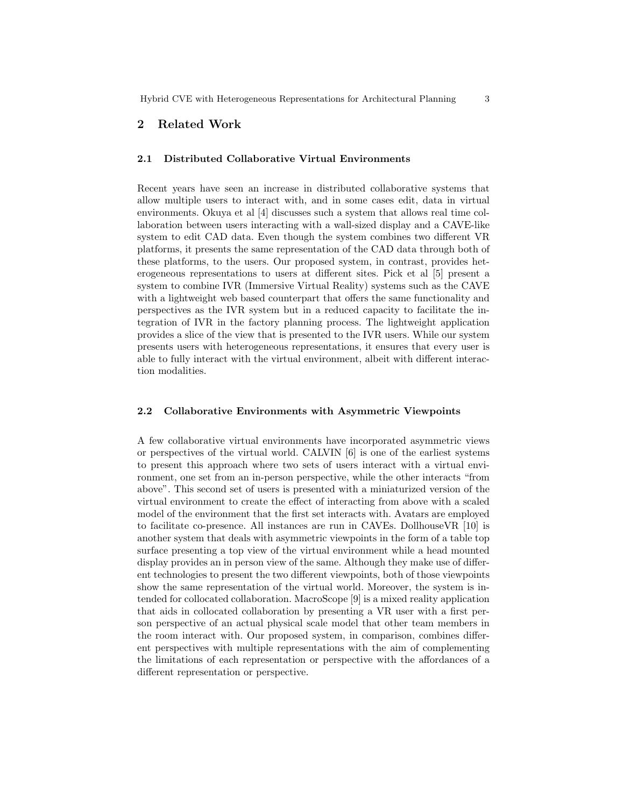# 2 Related Work

#### 2.1 Distributed Collaborative Virtual Environments

Recent years have seen an increase in distributed collaborative systems that allow multiple users to interact with, and in some cases edit, data in virtual environments. Okuya et al [4] discusses such a system that allows real time collaboration between users interacting with a wall-sized display and a CAVE-like system to edit CAD data. Even though the system combines two different VR platforms, it presents the same representation of the CAD data through both of these platforms, to the users. Our proposed system, in contrast, provides heterogeneous representations to users at different sites. Pick et al [5] present a system to combine IVR (Immersive Virtual Reality) systems such as the CAVE with a lightweight web based counterpart that offers the same functionality and perspectives as the IVR system but in a reduced capacity to facilitate the integration of IVR in the factory planning process. The lightweight application provides a slice of the view that is presented to the IVR users. While our system presents users with heterogeneous representations, it ensures that every user is able to fully interact with the virtual environment, albeit with different interaction modalities.

## 2.2 Collaborative Environments with Asymmetric Viewpoints

A few collaborative virtual environments have incorporated asymmetric views or perspectives of the virtual world. CALVIN [6] is one of the earliest systems to present this approach where two sets of users interact with a virtual environment, one set from an in-person perspective, while the other interacts "from above". This second set of users is presented with a miniaturized version of the virtual environment to create the effect of interacting from above with a scaled model of the environment that the first set interacts with. Avatars are employed to facilitate co-presence. All instances are run in CAVEs. DollhouseVR [10] is another system that deals with asymmetric viewpoints in the form of a table top surface presenting a top view of the virtual environment while a head mounted display provides an in person view of the same. Although they make use of different technologies to present the two different viewpoints, both of those viewpoints show the same representation of the virtual world. Moreover, the system is intended for collocated collaboration. MacroScope [9] is a mixed reality application that aids in collocated collaboration by presenting a VR user with a first person perspective of an actual physical scale model that other team members in the room interact with. Our proposed system, in comparison, combines different perspectives with multiple representations with the aim of complementing the limitations of each representation or perspective with the affordances of a different representation or perspective.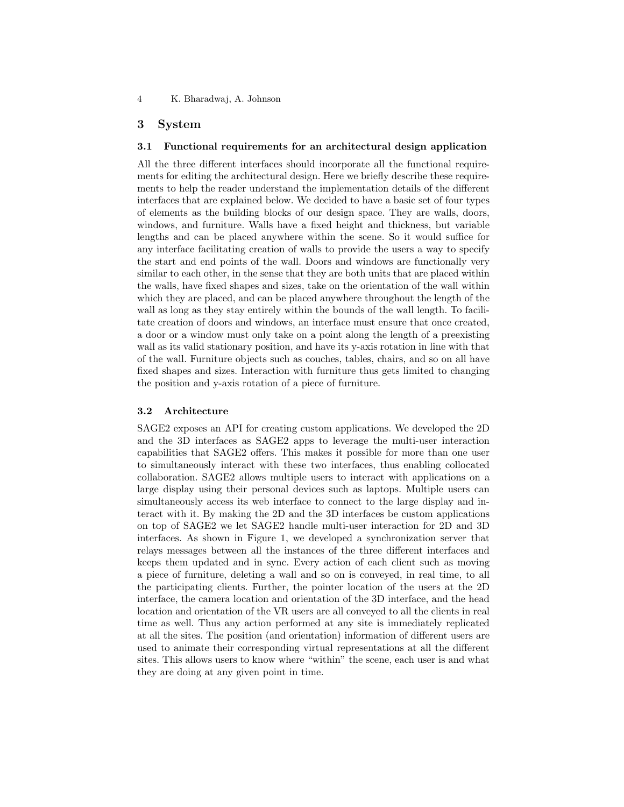# 3 System

#### 3.1 Functional requirements for an architectural design application

All the three different interfaces should incorporate all the functional requirements for editing the architectural design. Here we briefly describe these requirements to help the reader understand the implementation details of the different interfaces that are explained below. We decided to have a basic set of four types of elements as the building blocks of our design space. They are walls, doors, windows, and furniture. Walls have a fixed height and thickness, but variable lengths and can be placed anywhere within the scene. So it would suffice for any interface facilitating creation of walls to provide the users a way to specify the start and end points of the wall. Doors and windows are functionally very similar to each other, in the sense that they are both units that are placed within the walls, have fixed shapes and sizes, take on the orientation of the wall within which they are placed, and can be placed anywhere throughout the length of the wall as long as they stay entirely within the bounds of the wall length. To facilitate creation of doors and windows, an interface must ensure that once created, a door or a window must only take on a point along the length of a preexisting wall as its valid stationary position, and have its y-axis rotation in line with that of the wall. Furniture objects such as couches, tables, chairs, and so on all have fixed shapes and sizes. Interaction with furniture thus gets limited to changing the position and y-axis rotation of a piece of furniture.

#### 3.2 Architecture

SAGE2 exposes an API for creating custom applications. We developed the 2D and the 3D interfaces as SAGE2 apps to leverage the multi-user interaction capabilities that SAGE2 offers. This makes it possible for more than one user to simultaneously interact with these two interfaces, thus enabling collocated collaboration. SAGE2 allows multiple users to interact with applications on a large display using their personal devices such as laptops. Multiple users can simultaneously access its web interface to connect to the large display and interact with it. By making the 2D and the 3D interfaces be custom applications on top of SAGE2 we let SAGE2 handle multi-user interaction for 2D and 3D interfaces. As shown in Figure 1, we developed a synchronization server that relays messages between all the instances of the three different interfaces and keeps them updated and in sync. Every action of each client such as moving a piece of furniture, deleting a wall and so on is conveyed, in real time, to all the participating clients. Further, the pointer location of the users at the 2D interface, the camera location and orientation of the 3D interface, and the head location and orientation of the VR users are all conveyed to all the clients in real time as well. Thus any action performed at any site is immediately replicated at all the sites. The position (and orientation) information of different users are used to animate their corresponding virtual representations at all the different sites. This allows users to know where "within" the scene, each user is and what they are doing at any given point in time.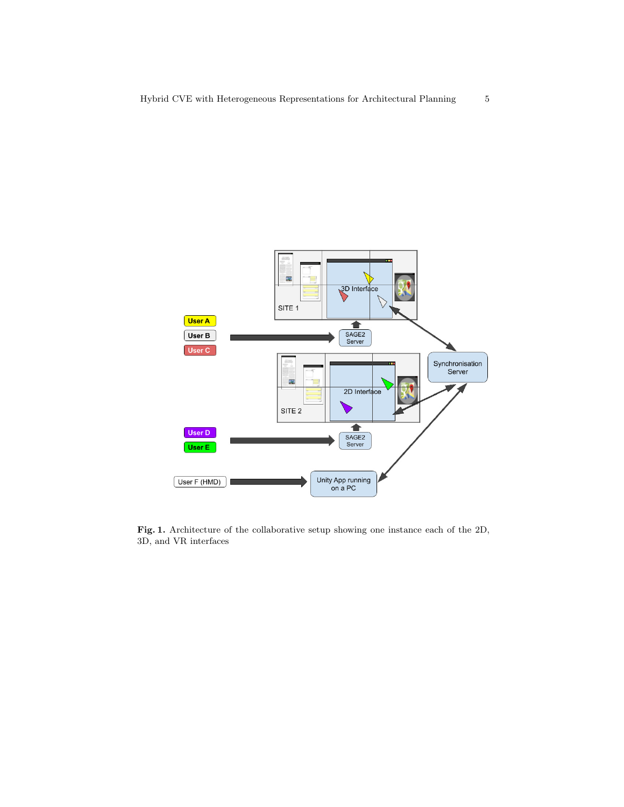

Fig. 1. Architecture of the collaborative setup showing one instance each of the 2D, 3D, and VR interfaces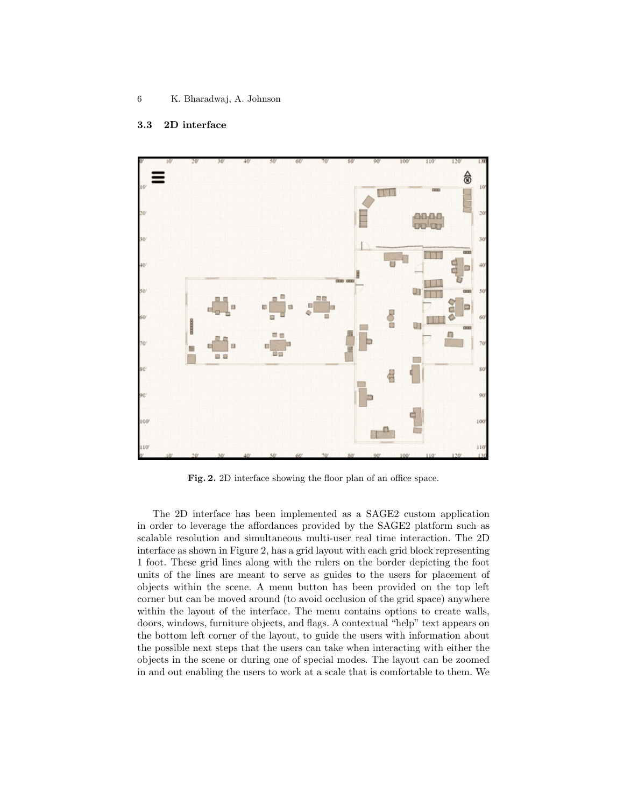# 言語説  $01.0$ o or **BMU** 59 Ù. 荫 ю  $\overline{11}$

# 3.3 2D interface

Fig. 2. 2D interface showing the floor plan of an office space.

The 2D interface has been implemented as a SAGE2 custom application in order to leverage the affordances provided by the SAGE2 platform such as scalable resolution and simultaneous multi-user real time interaction. The 2D interface as shown in Figure 2, has a grid layout with each grid block representing 1 foot. These grid lines along with the rulers on the border depicting the foot units of the lines are meant to serve as guides to the users for placement of objects within the scene. A menu button has been provided on the top left corner but can be moved around (to avoid occlusion of the grid space) anywhere within the layout of the interface. The menu contains options to create walls, doors, windows, furniture objects, and flags. A contextual "help" text appears on the bottom left corner of the layout, to guide the users with information about the possible next steps that the users can take when interacting with either the objects in the scene or during one of special modes. The layout can be zoomed in and out enabling the users to work at a scale that is comfortable to them. We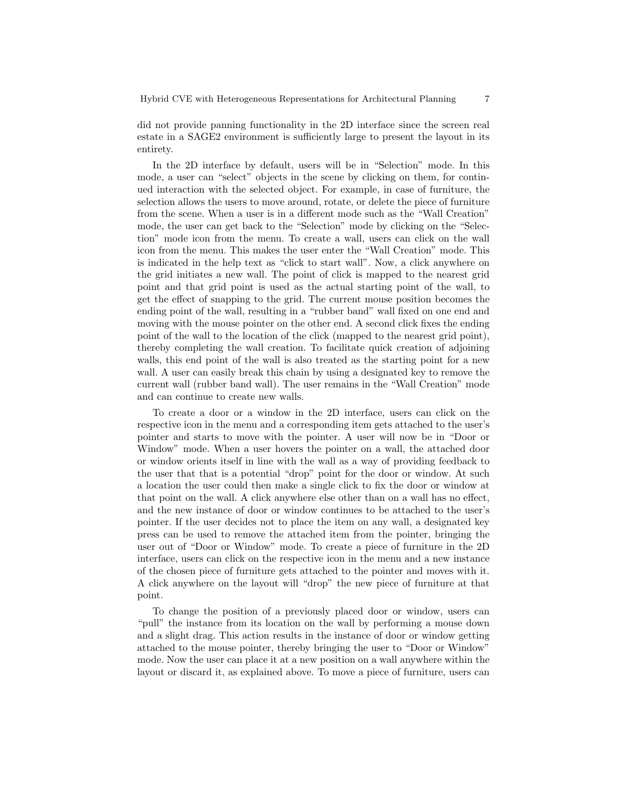did not provide panning functionality in the 2D interface since the screen real estate in a SAGE2 environment is sufficiently large to present the layout in its entirety.

In the 2D interface by default, users will be in "Selection" mode. In this mode, a user can "select" objects in the scene by clicking on them, for continued interaction with the selected object. For example, in case of furniture, the selection allows the users to move around, rotate, or delete the piece of furniture from the scene. When a user is in a different mode such as the "Wall Creation" mode, the user can get back to the "Selection" mode by clicking on the "Selection" mode icon from the menu. To create a wall, users can click on the wall icon from the menu. This makes the user enter the "Wall Creation" mode. This is indicated in the help text as "click to start wall". Now, a click anywhere on the grid initiates a new wall. The point of click is mapped to the nearest grid point and that grid point is used as the actual starting point of the wall, to get the effect of snapping to the grid. The current mouse position becomes the ending point of the wall, resulting in a "rubber band" wall fixed on one end and moving with the mouse pointer on the other end. A second click fixes the ending point of the wall to the location of the click (mapped to the nearest grid point), thereby completing the wall creation. To facilitate quick creation of adjoining walls, this end point of the wall is also treated as the starting point for a new wall. A user can easily break this chain by using a designated key to remove the current wall (rubber band wall). The user remains in the "Wall Creation" mode and can continue to create new walls.

To create a door or a window in the 2D interface, users can click on the respective icon in the menu and a corresponding item gets attached to the user's pointer and starts to move with the pointer. A user will now be in "Door or Window" mode. When a user hovers the pointer on a wall, the attached door or window orients itself in line with the wall as a way of providing feedback to the user that that is a potential "drop" point for the door or window. At such a location the user could then make a single click to fix the door or window at that point on the wall. A click anywhere else other than on a wall has no effect, and the new instance of door or window continues to be attached to the user's pointer. If the user decides not to place the item on any wall, a designated key press can be used to remove the attached item from the pointer, bringing the user out of "Door or Window" mode. To create a piece of furniture in the 2D interface, users can click on the respective icon in the menu and a new instance of the chosen piece of furniture gets attached to the pointer and moves with it. A click anywhere on the layout will "drop" the new piece of furniture at that point.

To change the position of a previously placed door or window, users can "pull" the instance from its location on the wall by performing a mouse down and a slight drag. This action results in the instance of door or window getting attached to the mouse pointer, thereby bringing the user to "Door or Window" mode. Now the user can place it at a new position on a wall anywhere within the layout or discard it, as explained above. To move a piece of furniture, users can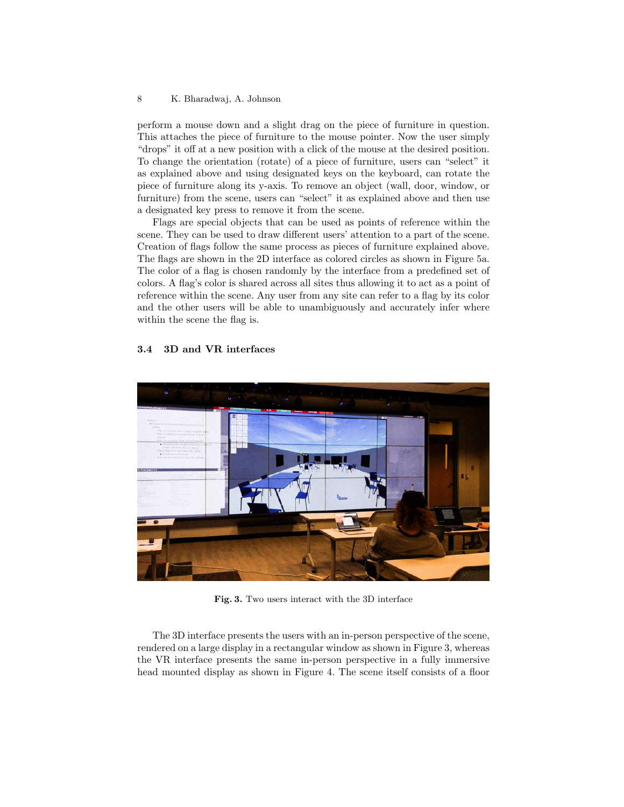perform a mouse down and a slight drag on the piece of furniture in question. This attaches the piece of furniture to the mouse pointer. Now the user simply "drops" it off at a new position with a click of the mouse at the desired position. To change the orientation (rotate) of a piece of furniture, users can "select" it as explained above and using designated keys on the keyboard, can rotate the piece of furniture along its y-axis. To remove an object (wall, door, window, or furniture) from the scene, users can "select" it as explained above and then use a designated key press to remove it from the scene.

Flags are special objects that can be used as points of reference within the scene. They can be used to draw different users' attention to a part of the scene. Creation of flags follow the same process as pieces of furniture explained above. The flags are shown in the 2D interface as colored circles as shown in Figure 5a. The color of a flag is chosen randomly by the interface from a predefined set of colors. A flag's color is shared across all sites thus allowing it to act as a point of reference within the scene. Any user from any site can refer to a flag by its color and the other users will be able to unambiguously and accurately infer where within the scene the flag is.

#### 3.4 3D and VR interfaces



Fig. 3. Two users interact with the 3D interface

The 3D interface presents the users with an in-person perspective of the scene, rendered on a large display in a rectangular window as shown in Figure 3, whereas the VR interface presents the same in-person perspective in a fully immersive head mounted display as shown in Figure 4. The scene itself consists of a floor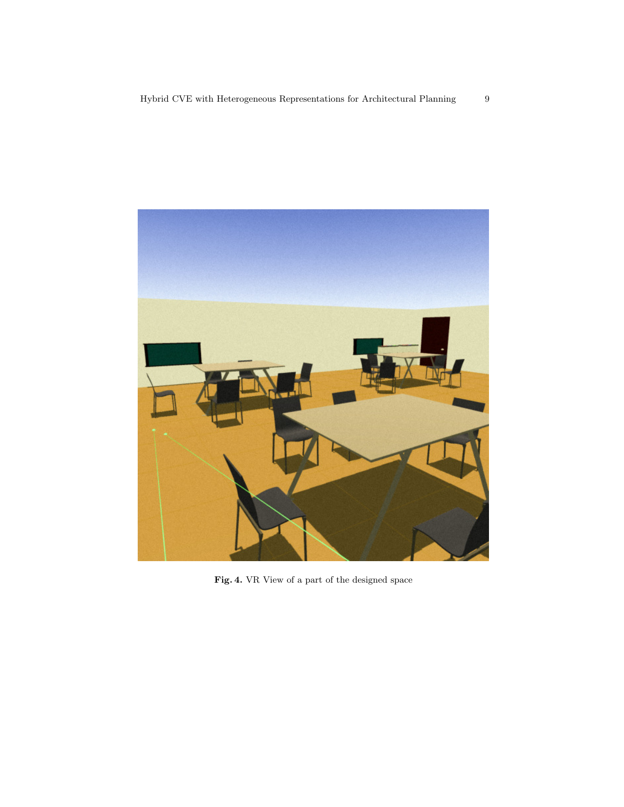

Fig. 4. VR View of a part of the designed space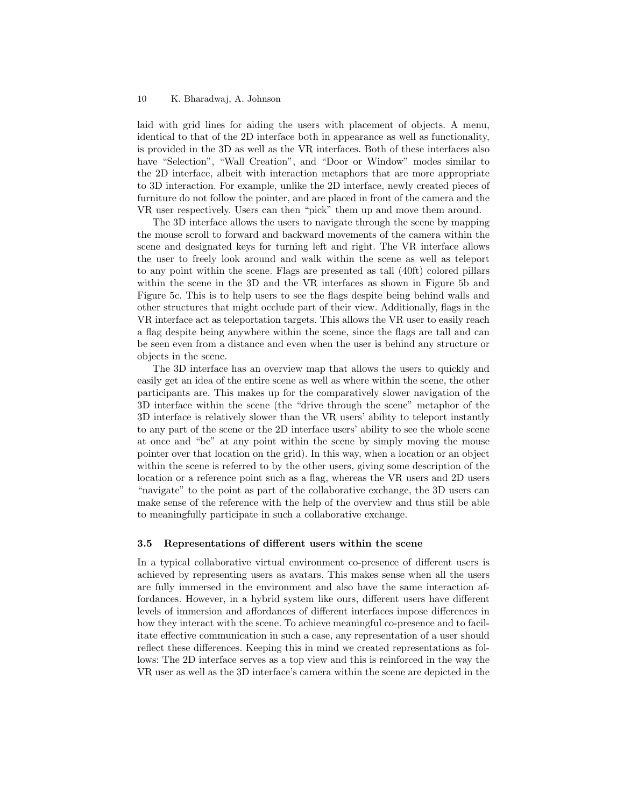laid with grid lines for aiding the users with placement of objects. A menu, identical to that of the 2D interface both in appearance as well as functionality, is provided in the 3D as well as the VR interfaces. Both of these interfaces also have "Selection", "Wall Creation", and "Door or Window" modes similar to the 2D interface, albeit with interaction metaphors that are more appropriate to 3D interaction. For example, unlike the 2D interface, newly created pieces of furniture do not follow the pointer, and are placed in front of the camera and the VR user respectively. Users can then "pick" them up and move them around.

The 3D interface allows the users to navigate through the scene by mapping the mouse scroll to forward and backward movements of the camera within the scene and designated keys for turning left and right. The VR interface allows the user to freely look around and walk within the scene as well as teleport to any point within the scene. Flags are presented as tall (40ft) colored pillars within the scene in the 3D and the VR interfaces as shown in Figure 5b and Figure 5c. This is to help users to see the flags despite being behind walls and other structures that might occlude part of their view. Additionally, flags in the VR interface act as teleportation targets. This allows the VR user to easily reach a flag despite being anywhere within the scene, since the flags are tall and can be seen even from a distance and even when the user is behind any structure or objects in the scene.

The 3D interface has an overview map that allows the users to quickly and easily get an idea of the entire scene as well as where within the scene, the other participants are. This makes up for the comparatively slower navigation of the 3D interface within the scene (the "drive through the scene" metaphor of the 3D interface is relatively slower than the VR users' ability to teleport instantly to any part of the scene or the 2D interface users' ability to see the whole scene at once and "be" at any point within the scene by simply moving the mouse pointer over that location on the grid). In this way, when a location or an object within the scene is referred to by the other users, giving some description of the location or a reference point such as a flag, whereas the VR users and 2D users "navigate" to the point as part of the collaborative exchange, the 3D users can make sense of the reference with the help of the overview and thus still be able to meaningfully participate in such a collaborative exchange.

#### 3.5 Representations of different users within the scene

In a typical collaborative virtual environment co-presence of different users is achieved by representing users as avatars. This makes sense when all the users are fully immersed in the environment and also have the same interaction affordances. However, in a hybrid system like ours, different users have different levels of immersion and affordances of different interfaces impose differences in how they interact with the scene. To achieve meaningful co-presence and to facilitate effective communication in such a case, any representation of a user should reflect these differences. Keeping this in mind we created representations as follows: The 2D interface serves as a top view and this is reinforced in the way the VR user as well as the 3D interface's camera within the scene are depicted in the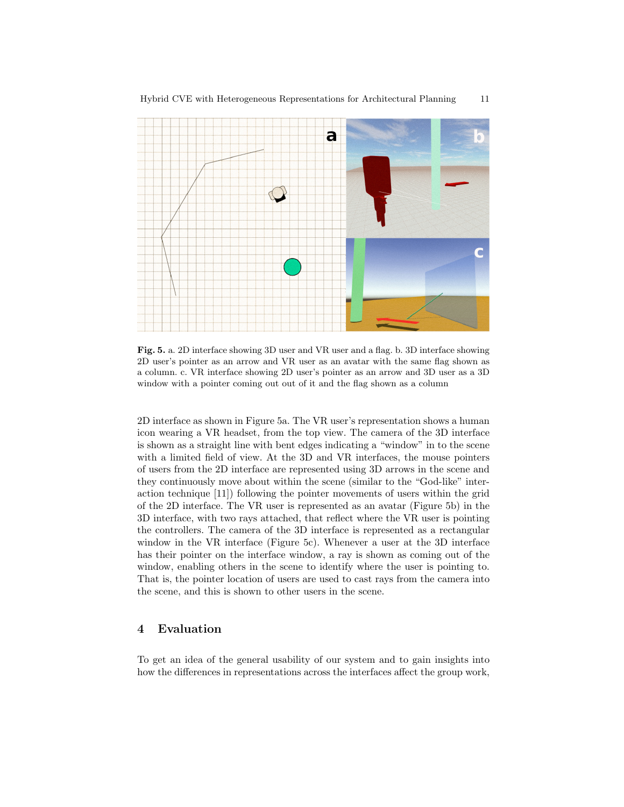

Fig. 5. a. 2D interface showing 3D user and VR user and a flag. b. 3D interface showing 2D user's pointer as an arrow and VR user as an avatar with the same flag shown as a column. c. VR interface showing 2D user's pointer as an arrow and 3D user as a 3D window with a pointer coming out out of it and the flag shown as a column

2D interface as shown in Figure 5a. The VR user's representation shows a human icon wearing a VR headset, from the top view. The camera of the 3D interface is shown as a straight line with bent edges indicating a "window" in to the scene with a limited field of view. At the 3D and VR interfaces, the mouse pointers of users from the 2D interface are represented using 3D arrows in the scene and they continuously move about within the scene (similar to the "God-like" interaction technique [11]) following the pointer movements of users within the grid of the 2D interface. The VR user is represented as an avatar (Figure 5b) in the 3D interface, with two rays attached, that reflect where the VR user is pointing the controllers. The camera of the 3D interface is represented as a rectangular window in the VR interface (Figure 5c). Whenever a user at the 3D interface has their pointer on the interface window, a ray is shown as coming out of the window, enabling others in the scene to identify where the user is pointing to. That is, the pointer location of users are used to cast rays from the camera into the scene, and this is shown to other users in the scene.

# 4 Evaluation

To get an idea of the general usability of our system and to gain insights into how the differences in representations across the interfaces affect the group work,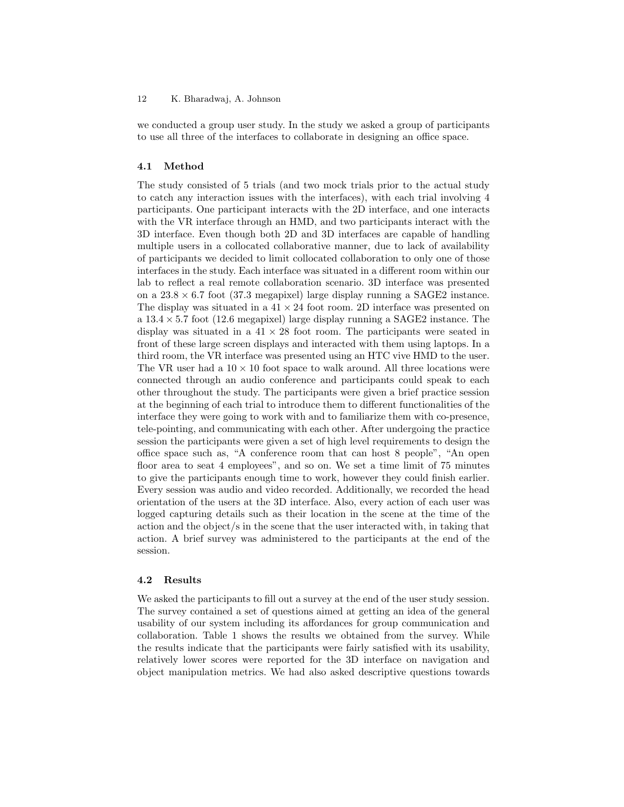we conducted a group user study. In the study we asked a group of participants to use all three of the interfaces to collaborate in designing an office space.

## 4.1 Method

The study consisted of 5 trials (and two mock trials prior to the actual study to catch any interaction issues with the interfaces), with each trial involving 4 participants. One participant interacts with the 2D interface, and one interacts with the VR interface through an HMD, and two participants interact with the 3D interface. Even though both 2D and 3D interfaces are capable of handling multiple users in a collocated collaborative manner, due to lack of availability of participants we decided to limit collocated collaboration to only one of those interfaces in the study. Each interface was situated in a different room within our lab to reflect a real remote collaboration scenario. 3D interface was presented on a  $23.8 \times 6.7$  foot (37.3 megapixel) large display running a SAGE2 instance. The display was situated in a  $41 \times 24$  foot room. 2D interface was presented on a  $13.4 \times 5.7$  foot (12.6 megapixel) large display running a SAGE2 instance. The display was situated in a  $41 \times 28$  foot room. The participants were seated in front of these large screen displays and interacted with them using laptops. In a third room, the VR interface was presented using an HTC vive HMD to the user. The VR user had a  $10 \times 10$  foot space to walk around. All three locations were connected through an audio conference and participants could speak to each other throughout the study. The participants were given a brief practice session at the beginning of each trial to introduce them to different functionalities of the interface they were going to work with and to familiarize them with co-presence, tele-pointing, and communicating with each other. After undergoing the practice session the participants were given a set of high level requirements to design the office space such as, "A conference room that can host 8 people", "An open floor area to seat 4 employees", and so on. We set a time limit of 75 minutes to give the participants enough time to work, however they could finish earlier. Every session was audio and video recorded. Additionally, we recorded the head orientation of the users at the 3D interface. Also, every action of each user was logged capturing details such as their location in the scene at the time of the action and the object/s in the scene that the user interacted with, in taking that action. A brief survey was administered to the participants at the end of the session.

#### 4.2 Results

We asked the participants to fill out a survey at the end of the user study session. The survey contained a set of questions aimed at getting an idea of the general usability of our system including its affordances for group communication and collaboration. Table 1 shows the results we obtained from the survey. While the results indicate that the participants were fairly satisfied with its usability, relatively lower scores were reported for the 3D interface on navigation and object manipulation metrics. We had also asked descriptive questions towards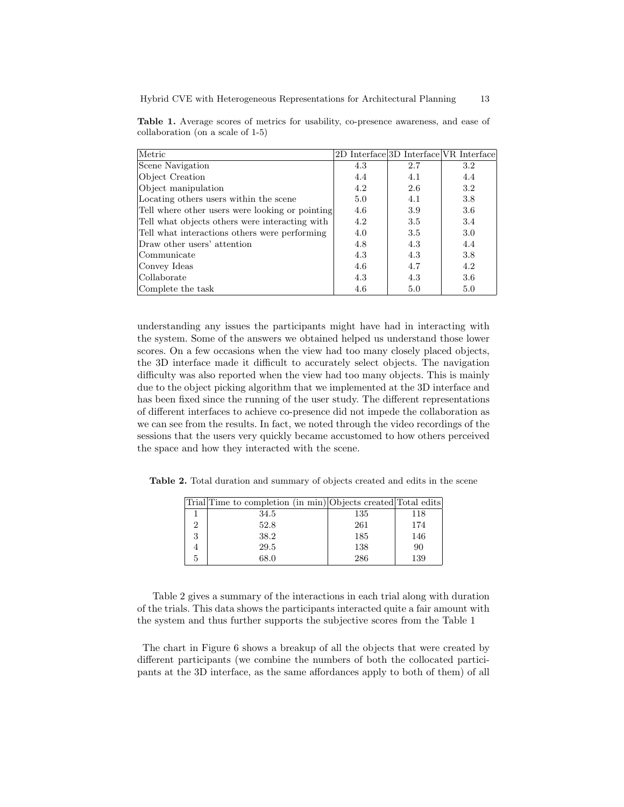| Metric                                          |     |     | 2D Interface 3D Interface VR Interface |
|-------------------------------------------------|-----|-----|----------------------------------------|
| Scene Navigation                                | 4.3 | 2.7 | 3.2                                    |
| Object Creation                                 | 4.4 | 4.1 | 4.4                                    |
| Object manipulation                             | 4.2 | 2.6 | $3.2\phantom{0}$                       |
| Locating others users within the scene          | 5.0 | 4.1 | 3.8                                    |
| Tell where other users were looking or pointing | 4.6 | 3.9 | 3.6                                    |
| Tell what objects others were interacting with  | 4.2 | 3.5 | 3.4                                    |
| Tell what interactions others were performing   | 4.0 | 3.5 | 3.0                                    |
| Draw other users' attention                     | 4.8 | 4.3 | 4.4                                    |
| Communicate                                     | 4.3 | 4.3 | 3.8                                    |
| Convey Ideas                                    | 4.6 | 4.7 | 4.2                                    |
| Collaborate                                     | 4.3 | 4.3 | 3.6                                    |
| Complete the task                               | 4.6 | 5.0 | 5.0                                    |

Table 1. Average scores of metrics for usability, co-presence awareness, and ease of collaboration (on a scale of 1-5)

understanding any issues the participants might have had in interacting with the system. Some of the answers we obtained helped us understand those lower scores. On a few occasions when the view had too many closely placed objects, the 3D interface made it difficult to accurately select objects. The navigation difficulty was also reported when the view had too many objects. This is mainly due to the object picking algorithm that we implemented at the 3D interface and has been fixed since the running of the user study. The different representations of different interfaces to achieve co-presence did not impede the collaboration as we can see from the results. In fact, we noted through the video recordings of the sessions that the users very quickly became accustomed to how others perceived the space and how they interacted with the scene.

Table 2. Total duration and summary of objects created and edits in the scene

|   | Trial Time to completion (in min) Objects created Total edits |     |     |
|---|---------------------------------------------------------------|-----|-----|
|   | 34.5                                                          | 135 | 118 |
|   | 52.8                                                          | 261 | 174 |
| 3 | 38.2                                                          | 185 | 146 |
|   | 29.5                                                          | 138 | 90  |
|   | 68.0                                                          | 286 | 139 |

Table 2 gives a summary of the interactions in each trial along with duration of the trials. This data shows the participants interacted quite a fair amount with the system and thus further supports the subjective scores from the Table 1

The chart in Figure 6 shows a breakup of all the objects that were created by different participants (we combine the numbers of both the collocated participants at the 3D interface, as the same affordances apply to both of them) of all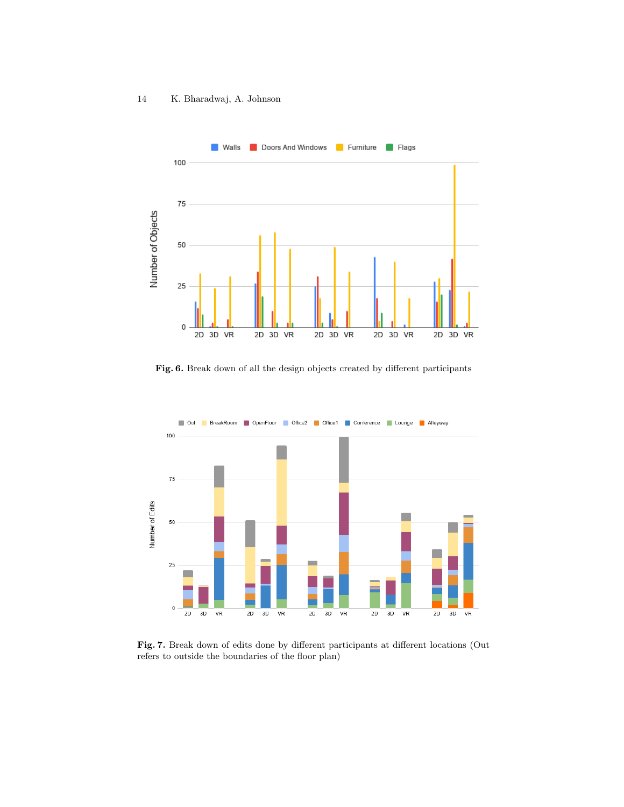

Fig. 6. Break down of all the design objects created by different participants



Fig. 7. Break down of edits done by different participants at different locations (Out refers to outside the boundaries of the floor plan)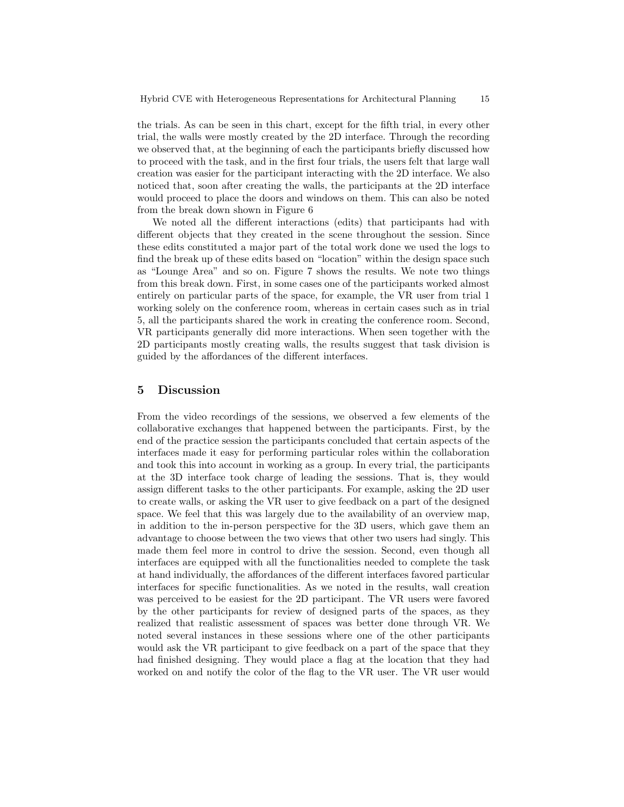the trials. As can be seen in this chart, except for the fifth trial, in every other trial, the walls were mostly created by the 2D interface. Through the recording we observed that, at the beginning of each the participants briefly discussed how to proceed with the task, and in the first four trials, the users felt that large wall creation was easier for the participant interacting with the 2D interface. We also noticed that, soon after creating the walls, the participants at the 2D interface would proceed to place the doors and windows on them. This can also be noted from the break down shown in Figure 6

We noted all the different interactions (edits) that participants had with different objects that they created in the scene throughout the session. Since these edits constituted a major part of the total work done we used the logs to find the break up of these edits based on "location" within the design space such as "Lounge Area" and so on. Figure 7 shows the results. We note two things from this break down. First, in some cases one of the participants worked almost entirely on particular parts of the space, for example, the VR user from trial 1 working solely on the conference room, whereas in certain cases such as in trial 5, all the participants shared the work in creating the conference room. Second, VR participants generally did more interactions. When seen together with the 2D participants mostly creating walls, the results suggest that task division is guided by the affordances of the different interfaces.

## 5 Discussion

From the video recordings of the sessions, we observed a few elements of the collaborative exchanges that happened between the participants. First, by the end of the practice session the participants concluded that certain aspects of the interfaces made it easy for performing particular roles within the collaboration and took this into account in working as a group. In every trial, the participants at the 3D interface took charge of leading the sessions. That is, they would assign different tasks to the other participants. For example, asking the 2D user to create walls, or asking the VR user to give feedback on a part of the designed space. We feel that this was largely due to the availability of an overview map, in addition to the in-person perspective for the 3D users, which gave them an advantage to choose between the two views that other two users had singly. This made them feel more in control to drive the session. Second, even though all interfaces are equipped with all the functionalities needed to complete the task at hand individually, the affordances of the different interfaces favored particular interfaces for specific functionalities. As we noted in the results, wall creation was perceived to be easiest for the 2D participant. The VR users were favored by the other participants for review of designed parts of the spaces, as they realized that realistic assessment of spaces was better done through VR. We noted several instances in these sessions where one of the other participants would ask the VR participant to give feedback on a part of the space that they had finished designing. They would place a flag at the location that they had worked on and notify the color of the flag to the VR user. The VR user would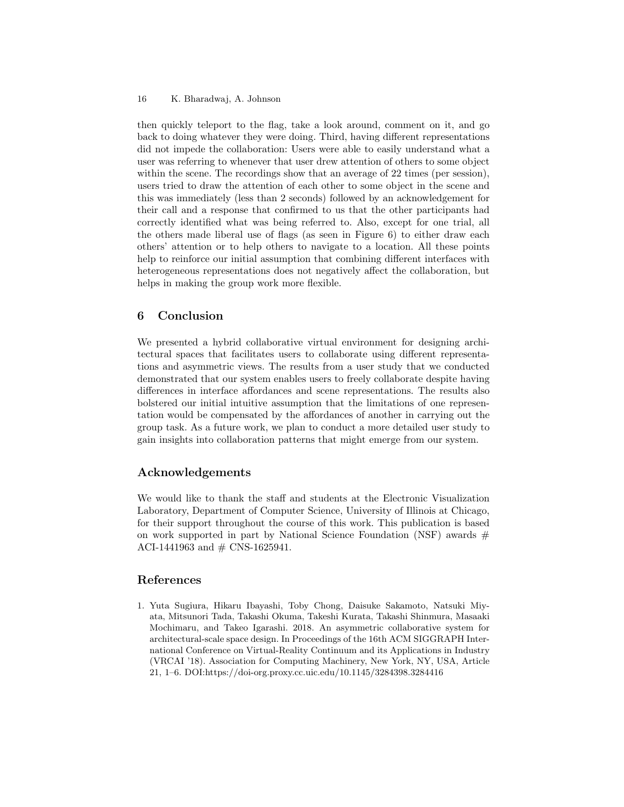then quickly teleport to the flag, take a look around, comment on it, and go back to doing whatever they were doing. Third, having different representations did not impede the collaboration: Users were able to easily understand what a user was referring to whenever that user drew attention of others to some object within the scene. The recordings show that an average of 22 times (per session), users tried to draw the attention of each other to some object in the scene and this was immediately (less than 2 seconds) followed by an acknowledgement for their call and a response that confirmed to us that the other participants had correctly identified what was being referred to. Also, except for one trial, all the others made liberal use of flags (as seen in Figure 6) to either draw each others' attention or to help others to navigate to a location. All these points help to reinforce our initial assumption that combining different interfaces with heterogeneous representations does not negatively affect the collaboration, but helps in making the group work more flexible.

# 6 Conclusion

We presented a hybrid collaborative virtual environment for designing architectural spaces that facilitates users to collaborate using different representations and asymmetric views. The results from a user study that we conducted demonstrated that our system enables users to freely collaborate despite having differences in interface affordances and scene representations. The results also bolstered our initial intuitive assumption that the limitations of one representation would be compensated by the affordances of another in carrying out the group task. As a future work, we plan to conduct a more detailed user study to gain insights into collaboration patterns that might emerge from our system.

# Acknowledgements

We would like to thank the staff and students at the Electronic Visualization Laboratory, Department of Computer Science, University of Illinois at Chicago, for their support throughout the course of this work. This publication is based on work supported in part by National Science Foundation (NSF) awards  $#$ ACI-1441963 and  $#$  CNS-1625941.

# References

1. Yuta Sugiura, Hikaru Ibayashi, Toby Chong, Daisuke Sakamoto, Natsuki Miyata, Mitsunori Tada, Takashi Okuma, Takeshi Kurata, Takashi Shinmura, Masaaki Mochimaru, and Takeo Igarashi. 2018. An asymmetric collaborative system for architectural-scale space design. In Proceedings of the 16th ACM SIGGRAPH International Conference on Virtual-Reality Continuum and its Applications in Industry (VRCAI '18). Association for Computing Machinery, New York, NY, USA, Article 21, 1–6. DOI:https://doi-org.proxy.cc.uic.edu/10.1145/3284398.3284416